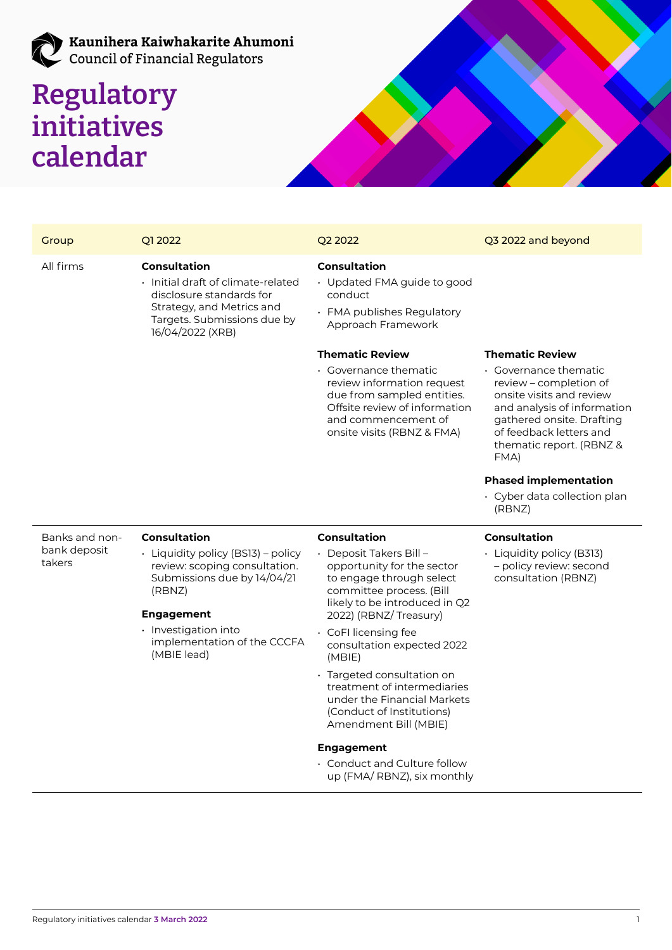# Kaunihera Kaiwhakarite Ahumoni<br>Council of Financial Regulators

## **Regulatory initiatives calendar**



| Group                                    | Q1 2022                                                                                                                                                               | Q2 2022                                                                                                                                                                 | Q3 2022 and beyond                                                                                                                                                                                     |
|------------------------------------------|-----------------------------------------------------------------------------------------------------------------------------------------------------------------------|-------------------------------------------------------------------------------------------------------------------------------------------------------------------------|--------------------------------------------------------------------------------------------------------------------------------------------------------------------------------------------------------|
| All firms                                | <b>Consultation</b><br>· Initial draft of climate-related<br>disclosure standards for<br>Strategy, and Metrics and<br>Targets. Submissions due by<br>16/04/2022 (XRB) | <b>Consultation</b><br>• Updated FMA guide to good<br>conduct<br>· FMA publishes Regulatory<br>Approach Framework                                                       |                                                                                                                                                                                                        |
|                                          |                                                                                                                                                                       | <b>Thematic Review</b>                                                                                                                                                  | <b>Thematic Review</b>                                                                                                                                                                                 |
|                                          |                                                                                                                                                                       | • Governance thematic<br>review information request<br>due from sampled entities.<br>Offsite review of information<br>and commencement of<br>onsite visits (RBNZ & FMA) | • Governance thematic<br>review – completion of<br>onsite visits and review<br>and analysis of information<br>gathered onsite. Drafting<br>of feedback letters and<br>thematic report. (RBNZ &<br>FMA) |
|                                          |                                                                                                                                                                       |                                                                                                                                                                         | <b>Phased implementation</b>                                                                                                                                                                           |
|                                          |                                                                                                                                                                       |                                                                                                                                                                         | $\cdot$ Cyber data collection plan<br>(RBNZ)                                                                                                                                                           |
| Banks and non-<br>bank deposit<br>takers | <b>Consultation</b>                                                                                                                                                   | <b>Consultation</b>                                                                                                                                                     | <b>Consultation</b>                                                                                                                                                                                    |
|                                          | · Liquidity policy (BS13) - policy<br>review: scoping consultation.<br>Submissions due by 14/04/21<br>(RBNZ)<br><b>Engagement</b>                                     | · Deposit Takers Bill-<br>opportunity for the sector<br>to engage through select<br>committee process. (Bill<br>likely to be introduced in Q2<br>2022) (RBNZ/Treasury)  | · Liquidity policy (B313)<br>- policy review: second<br>consultation (RBNZ)                                                                                                                            |
|                                          | · Investigation into<br>implementation of the CCCFA<br>(MBIE lead)                                                                                                    | · CoFI licensing fee<br>consultation expected 2022<br>(MBIE)                                                                                                            |                                                                                                                                                                                                        |
|                                          |                                                                                                                                                                       | · Targeted consultation on<br>treatment of intermediaries<br>under the Financial Markets<br>(Conduct of Institutions)<br>Amendment Bill (MBIE)                          |                                                                                                                                                                                                        |

### **Engagement**

• Conduct and Culture follow up (FMA/ RBNZ), six monthly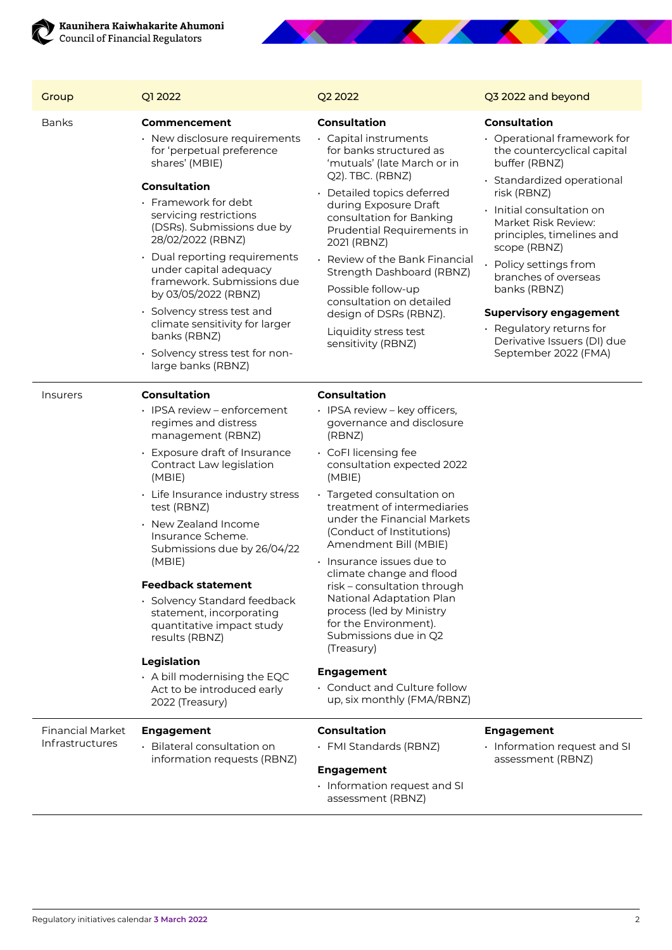

| Group                                      | Q1 2022                                                                                                                                                                                                                                                                                                                                                                                                                                                                                                                                                       | Q2 2022                                                                                                                                                                                                                                                                                                                                                                                                                                                                                                                                                                                                          | Q3 2022 and beyond                                                                                                                                                                                                                                                                                                                                                                                                                               |
|--------------------------------------------|---------------------------------------------------------------------------------------------------------------------------------------------------------------------------------------------------------------------------------------------------------------------------------------------------------------------------------------------------------------------------------------------------------------------------------------------------------------------------------------------------------------------------------------------------------------|------------------------------------------------------------------------------------------------------------------------------------------------------------------------------------------------------------------------------------------------------------------------------------------------------------------------------------------------------------------------------------------------------------------------------------------------------------------------------------------------------------------------------------------------------------------------------------------------------------------|--------------------------------------------------------------------------------------------------------------------------------------------------------------------------------------------------------------------------------------------------------------------------------------------------------------------------------------------------------------------------------------------------------------------------------------------------|
| <b>Banks</b>                               | Commencement<br>$\cdot$ New disclosure requirements<br>for 'perpetual preference<br>shares' (MBIE)<br><b>Consultation</b><br>· Framework for debt<br>servicing restrictions<br>(DSRs). Submissions due by<br>28/02/2022 (RBNZ)<br>• Dual reporting requirements<br>under capital adequacy<br>framework. Submissions due<br>by 03/05/2022 (RBNZ)<br>· Solvency stress test and<br>climate sensitivity for larger<br>banks (RBNZ)<br>· Solvency stress test for non-<br>large banks (RBNZ)                                                                      | <b>Consultation</b><br>· Capital instruments<br>for banks structured as<br>'mutuals' (late March or in<br>Q2). TBC. (RBNZ)<br>Detailed topics deferred<br>during Exposure Draft<br>consultation for Banking<br>Prudential Requirements in<br>2021 (RBNZ)<br>Review of the Bank Financial<br>Strength Dashboard (RBNZ)<br>Possible follow-up<br>consultation on detailed<br>design of DSRs (RBNZ).<br>Liquidity stress test<br>sensitivity (RBNZ)                                                                                                                                                                 | <b>Consultation</b><br>$\cdot$ Operational framework for<br>the countercyclical capital<br>buffer (RBNZ)<br>· Standardized operational<br>risk (RBNZ)<br>$\cdot$ Initial consultation on<br>Market Risk Review:<br>principles, timelines and<br>scope (RBNZ)<br>Policy settings from<br>branches of overseas<br>banks (RBNZ)<br><b>Supervisory engagement</b><br>· Regulatory returns for<br>Derivative Issuers (DI) due<br>September 2022 (FMA) |
| <i><u><b>Insurers</b></u></i>              | <b>Consultation</b><br>· IPSA review - enforcement<br>regimes and distress<br>management (RBNZ)<br>· Exposure draft of Insurance<br>Contract Law legislation<br>(MBIE)<br>• Life Insurance industry stress<br>test (RBNZ)<br>• New Zealand Income<br>Insurance Scheme.<br>Submissions due by 26/04/22<br>(MBIE)<br><b>Feedback statement</b><br>· Solvency Standard feedback<br>statement, incorporating<br>quantitative impact study<br>results (RBNZ)<br>Legislation<br>$\cdot$ A bill modernising the EQC<br>Act to be introduced early<br>2022 (Treasury) | <b>Consultation</b><br>· IPSA review - key officers,<br>governance and disclosure<br>(RBNZ)<br>• CoFI licensing fee<br>consultation expected 2022<br>(MBIE)<br>· Targeted consultation on<br>treatment of intermediaries<br>under the Financial Markets<br>(Conduct of Institutions)<br>Amendment Bill (MBIE)<br>· Insurance issues due to<br>climate change and flood<br>risk - consultation through<br>National Adaptation Plan<br>process (led by Ministry<br>for the Environment).<br>Submissions due in Q2<br>(Treasury)<br><b>Engagement</b><br>· Conduct and Culture follow<br>up, six monthly (FMA/RBNZ) |                                                                                                                                                                                                                                                                                                                                                                                                                                                  |
| <b>Financial Market</b><br>Infrastructures | <b>Engagement</b><br>• Bilateral consultation on<br>information requests (RBNZ)                                                                                                                                                                                                                                                                                                                                                                                                                                                                               | <b>Consultation</b><br>· FMI Standards (RBNZ)<br><b>Engagement</b><br>· Information request and SI<br>assessment (RBNZ)                                                                                                                                                                                                                                                                                                                                                                                                                                                                                          | <b>Engagement</b><br>· Information request and SI<br>assessment (RBNZ)                                                                                                                                                                                                                                                                                                                                                                           |

**The Communication of the Communication**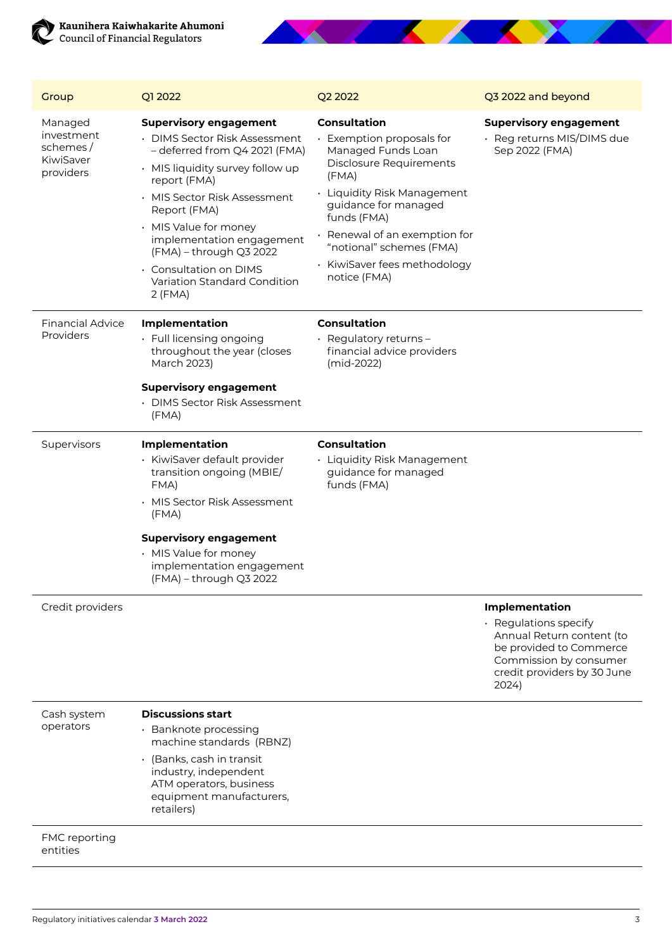